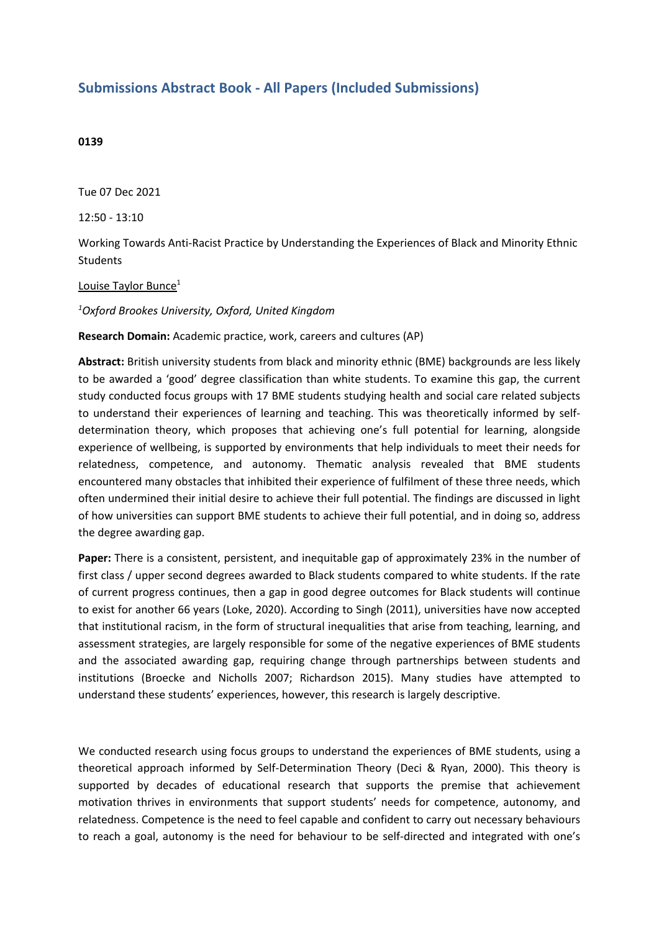## **Submissions Abstract Book - All Papers (Included Submissions)**

## **0139**

Tue 07 Dec 2021

12:50 - 13:10

Working Towards Anti-Racist Practice by Understanding the Experiences of Black and Minority Ethnic **Students** 

## Louise Taylor Bunce<sup>1</sup>

*1 Oxford Brookes University, Oxford, United Kingdom*

**Research Domain:** Academic practice, work, careers and cultures (AP)

**Abstract:** British university students from black and minority ethnic (BME) backgrounds are less likely to be awarded <sup>a</sup> 'good' degree classification than white students. To examine this gap, the current study conducted focus groups with 17 BME students studying health and social care related subjects to understand their experiences of learning and teaching. This was theoretically informed by selfdetermination theory, which proposes that achieving one's full potential for learning, alongside experience of wellbeing, is supported by environments that help individuals to meet their needs for relatedness, competence, and autonomy. Thematic analysis revealed that BME students encountered many obstacles that inhibited their experience of fulfilment of these three needs, which often undermined their initial desire to achieve their full potential. The findings are discussed in light of how universities can support BME students to achieve their full potential, and in doing so, address the degree awarding gap.

**Paper:** There is <sup>a</sup> consistent, persistent, and inequitable gap of approximately 23% in the number of first class / upper second degrees awarded to Black students compared to white students. If the rate of current progress continues, then <sup>a</sup> gap in good degree outcomes for Black students will continue to exist for another 66 years (Loke, 2020). According to Singh (2011), universities have now accepted that institutional racism, in the form of structural inequalities that arise from teaching, learning, and assessment strategies, are largely responsible for some of the negative experiences of BME students and the associated awarding gap, requiring change through partnerships between students and institutions (Broecke and Nicholls 2007; Richardson 2015). Many studies have attempted to understand these students' experiences, however, this research is largely descriptive.

We conducted research using focus groups to understand the experiences of BME students, using <sup>a</sup> theoretical approach informed by Self-Determination Theory (Deci & Ryan, 2000). This theory is supported by decades of educational research that supports the premise that achievement motivation thrives in environments that support students' needs for competence, autonomy, and relatedness. Competence is the need to feel capable and confident to carry out necessary behaviours to reach <sup>a</sup> goal, autonomy is the need for behaviour to be self-directed and integrated with one's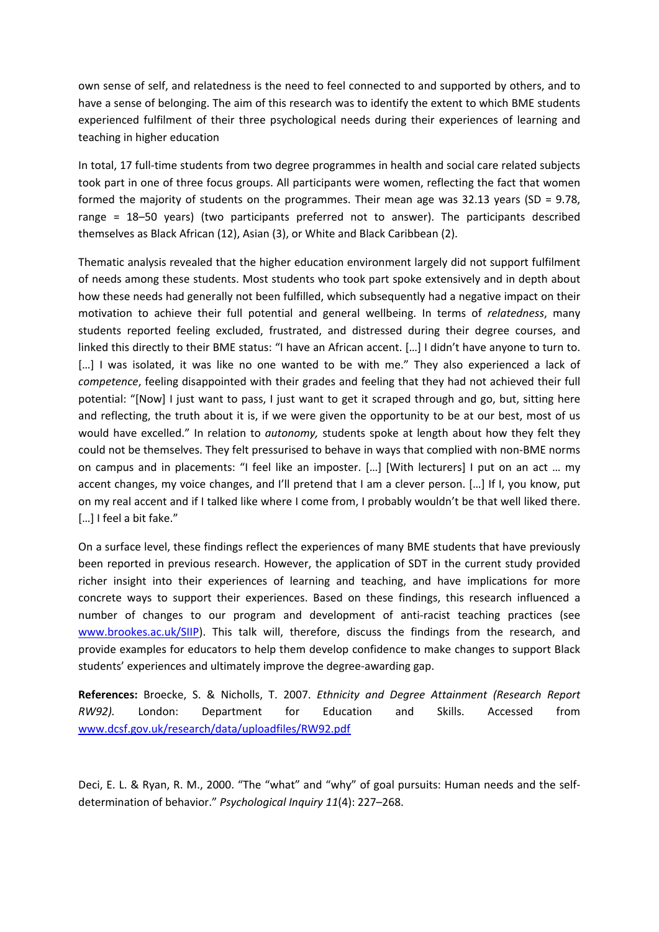own sense of self, and relatedness is the need to feel connected to and supported by others, and to have <sup>a</sup> sense of belonging. The aim of this research was to identify the extent to which BME students experienced fulfilment of their three psychological needs during their experiences of learning and teaching in higher education

In total, 17 full-time students from two degree programmes in health and social care related subjects took part in one of three focus groups. All participants were women, reflecting the fact that women formed the majority of students on the programmes. Their mean age was 32.13 years (SD <sup>=</sup> 9.78, range <sup>=</sup> 18–50 years) (two participants preferred not to answer). The participants described themselves as Black African (12), Asian (3), or White and Black Caribbean (2).

Thematic analysis revealed that the higher education environment largely did not support fulfilment of needs among these students. Most students who took part spoke extensively and in depth about how these needs had generally not been fulfilled, which subsequently had <sup>a</sup> negative impact on their motivation to achieve their full potential and general wellbeing. In terms of *relatedness*, many students reported feeling excluded, frustrated, and distressed during their degree courses, and linked this directly to their BME status: "I have an African accent. […] I didn't have anyone to turn to. [...] I was isolated, it was like no one wanted to be with me." They also experienced a lack of *competence*, feeling disappointed with their grades and feeling that they had not achieved their full potential: "[Now] I just want to pass, I just want to get it scraped through and go, but, sitting here and reflecting, the truth about it is, if we were given the opportunity to be at our best, most of us would have excelled." In relation to *autonomy,* students spoke at length about how they felt they could not be themselves. They felt pressurised to behave in ways that complied with non-BME norms on campus and in placements: "I feel like an imposter. […] [With lecturers] I put on an act … my accent changes, my voice changes, and I'll pretend that I am <sup>a</sup> clever person. […] If I, you know, put on my real accent and if I talked like where I come from, I probably wouldn't be that well liked there. [...] I feel a bit fake."

On <sup>a</sup> surface level, these findings reflect the experiences of many BME students that have previously been reported in previous research. However, the application of SDT in the current study provided richer insight into their experiences of learning and teaching, and have implications for more concrete ways to support their experiences. Based on these findings, this research influenced <sup>a</sup> number of changes to our program and development of anti-racist teaching practices (see [www.brookes.ac.uk/SIIP](http://www.brookes.ac.uk/SIIP)). This talk will, therefore, discuss the findings from the research, and provide examples for educators to help them develop confidence to make changes to support Black students' experiences and ultimately improve the degree-awarding gap.

**References:** Broecke, S. & Nicholls, T. 2007. *Ethnicity and Degree Attainment (Research Report RW92).* London: Department for Education and Skills. Accessed from [www.dcsf.gov.uk/research/data/uploadfiles/RW92.pdf](http://www.dcsf.gov.uk/research/data/uploadfiles/RW92.pdf)

Deci, E. L. & Ryan, R. M., 2000. "The "what" and "why" of goal pursuits: Human needs and the selfdetermination of behavior." *Psychological Inquiry 11*(4): 227–268.